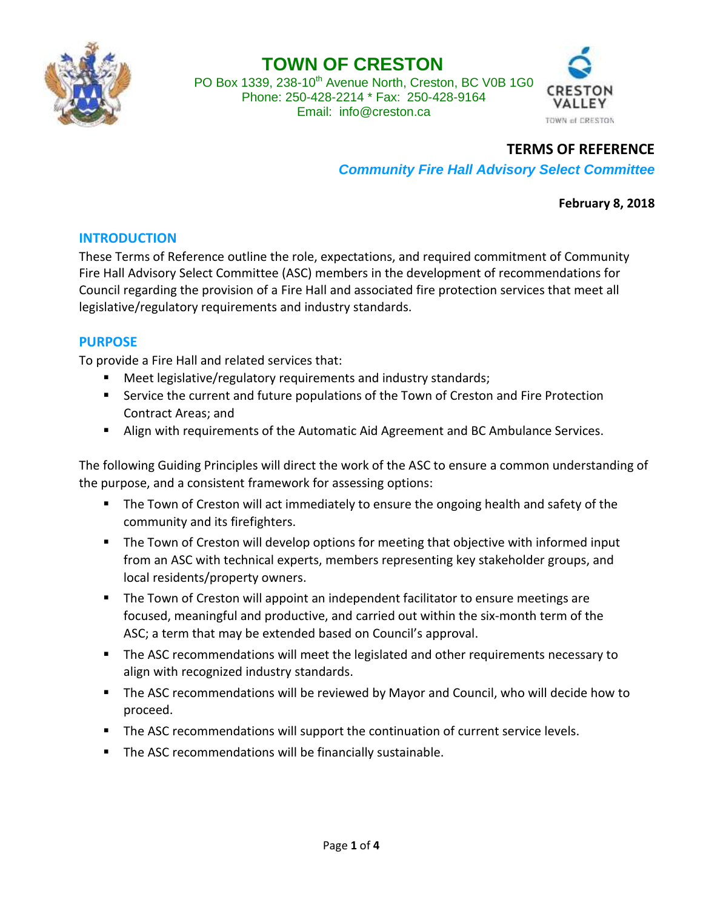

# **TOWN OF CRESTON**

PO Box 1339, 238-10<sup>th</sup> Avenue North, Creston, BC V0B 1G0 Phone: 250-428-2214 \* Fax: 250-428-9164 Email: [info@creston.ca](mailto:info@creston.ca)



### **TERMS OF REFERENCE**

*Community Fire Hall Advisory Select Committee*

**February 8, 2018**

#### **INTRODUCTION**

These Terms of Reference outline the role, expectations, and required commitment of Community Fire Hall Advisory Select Committee (ASC) members in the development of recommendations for Council regarding the provision of a Fire Hall and associated fire protection services that meet all legislative/regulatory requirements and industry standards.

#### **PURPOSE**

To provide a Fire Hall and related services that:

- Meet legislative/regulatory requirements and industry standards;
- **Service the current and future populations of the Town of Creston and Fire Protection** Contract Areas; and
- Align with requirements of the Automatic Aid Agreement and BC Ambulance Services.

The following Guiding Principles will direct the work of the ASC to ensure a common understanding of the purpose, and a consistent framework for assessing options:

- **The Town of Creston will act immediately to ensure the ongoing health and safety of the** community and its firefighters.
- **The Town of Creston will develop options for meeting that objective with informed input** from an ASC with technical experts, members representing key stakeholder groups, and local residents/property owners.
- The Town of Creston will appoint an independent facilitator to ensure meetings are focused, meaningful and productive, and carried out within the six-month term of the ASC; a term that may be extended based on Council's approval.
- **The ASC recommendations will meet the legislated and other requirements necessary to** align with recognized industry standards.
- **The ASC recommendations will be reviewed by Mayor and Council, who will decide how to** proceed.
- The ASC recommendations will support the continuation of current service levels.
- **The ASC recommendations will be financially sustainable.**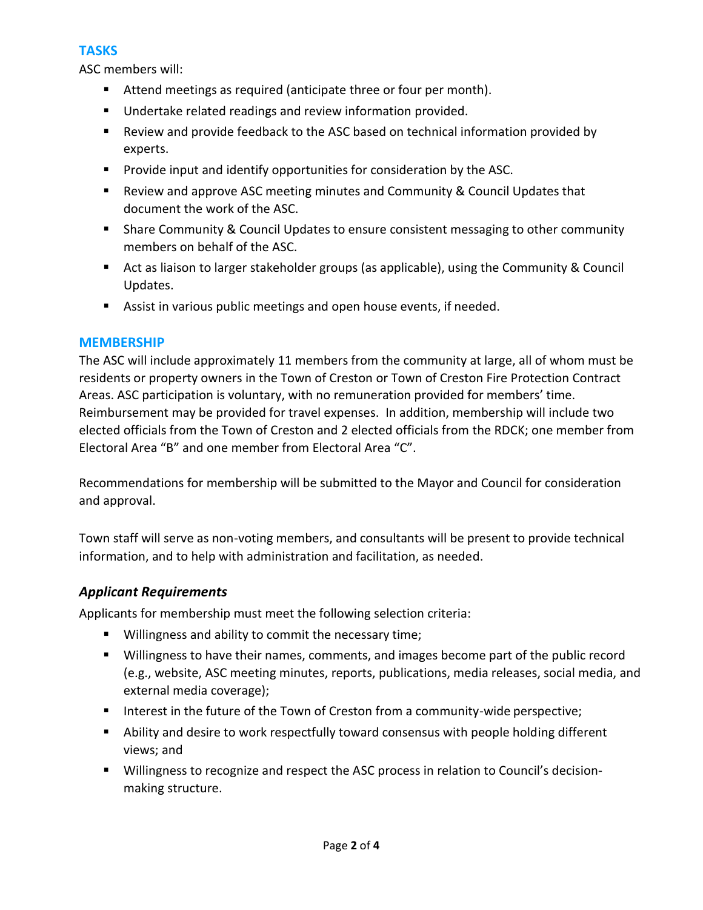## **TASKS**

ASC members will:

- Attend meetings as required (anticipate three or four per month).
- **Undertake related readings and review information provided.**
- Review and provide feedback to the ASC based on technical information provided by experts.
- **Provide input and identify opportunities for consideration by the ASC.**
- Review and approve ASC meeting minutes and Community & Council Updates that document the work of the ASC.
- Share Community & Council Updates to ensure consistent messaging to other community members on behalf of the ASC.
- Act as liaison to larger stakeholder groups (as applicable), using the Community & Council Updates.
- Assist in various public meetings and open house events, if needed.

### **MEMBERSHIP**

The ASC will include approximately 11 members from the community at large, all of whom must be residents or property owners in the Town of Creston or Town of Creston Fire Protection Contract Areas. ASC participation is voluntary, with no remuneration provided for members' time. Reimbursement may be provided for travel expenses. In addition, membership will include two elected officials from the Town of Creston and 2 elected officials from the RDCK; one member from Electoral Area "B" and one member from Electoral Area "C".

Recommendations for membership will be submitted to the Mayor and Council for consideration and approval.

Town staff will serve as non-voting members, and consultants will be present to provide technical information, and to help with administration and facilitation, as needed.

### *Applicant Requirements*

Applicants for membership must meet the following selection criteria:

- **Willingness and ability to commit the necessary time;**
- **Willingness to have their names, comments, and images become part of the public record** (e.g., website, ASC meeting minutes, reports, publications, media releases, social media, and external media coverage);
- Interest in the future of the Town of Creston from a community-wide perspective;
- Ability and desire to work respectfully toward consensus with people holding different views; and
- Willingness to recognize and respect the ASC process in relation to Council's decisionmaking structure.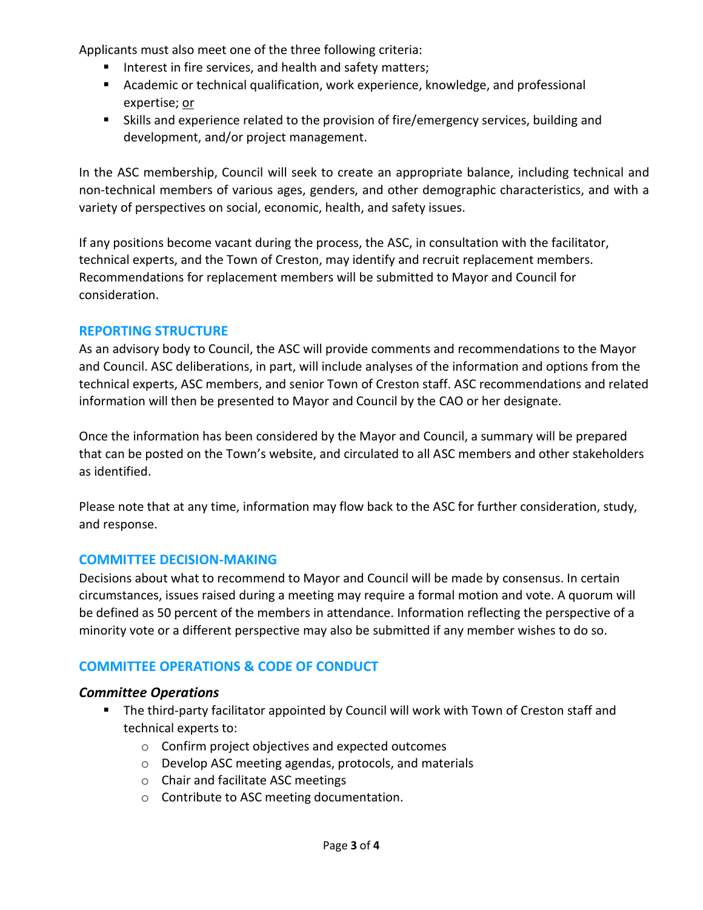Applicants must also meet one of the three following criteria:

- Interest in fire services, and health and safety matters;
- **E** Academic or technical qualification, work experience, knowledge, and professional expertise; or
- Skills and experience related to the provision of fire/emergency services, building and development, and/or project management.

In the ASC membership, Council will seek to create an appropriate balance, including technical and non-technical members of various ages, genders, and other demographic characteristics, and with a variety of perspectives on social, economic, health, and safety issues.

If any positions become vacant during the process, the ASC, in consultation with the facilitator, technical experts, and the Town of Creston, may identify and recruit replacement members. Recommendations for replacement members will be submitted to Mayor and Council for consideration.

### **REPORTING STRUCTURE**

As an advisory body to Council, the ASC will provide comments and recommendations to the Mayor and Council. ASC deliberations, in part, will include analyses of the information and options from the technical experts, ASC members, and senior Town of Creston staff. ASC recommendations and related information will then be presented to Mayor and Council by the CAO or her designate.

Once the information has been considered by the Mayor and Council, a summary will be prepared that can be posted on the Town's website, and circulated to all ASC members and other stakeholders as identified.

Please note that at any time, information may flow back to the ASC for further consideration, study, and response.

### **COMMITTEE DECISION-MAKING**

Decisions about what to recommend to Mayor and Council will be made by consensus. In certain circumstances, issues raised during a meeting may require a formal motion and vote. A quorum will be defined as 50 percent of the members in attendance. Information reflecting the perspective of a minority vote or a different perspective may also be submitted if any member wishes to do so.

# **COMMITTEE OPERATIONS & CODE OF CONDUCT**

### *Committee Operations*

- The third-party facilitator appointed by Council will work with Town of Creston staff and technical experts to:
	- o Confirm project objectives and expected outcomes
	- o Develop ASC meeting agendas, protocols, and materials
	- o Chair and facilitate ASC meetings
	- o Contribute to ASC meeting documentation.